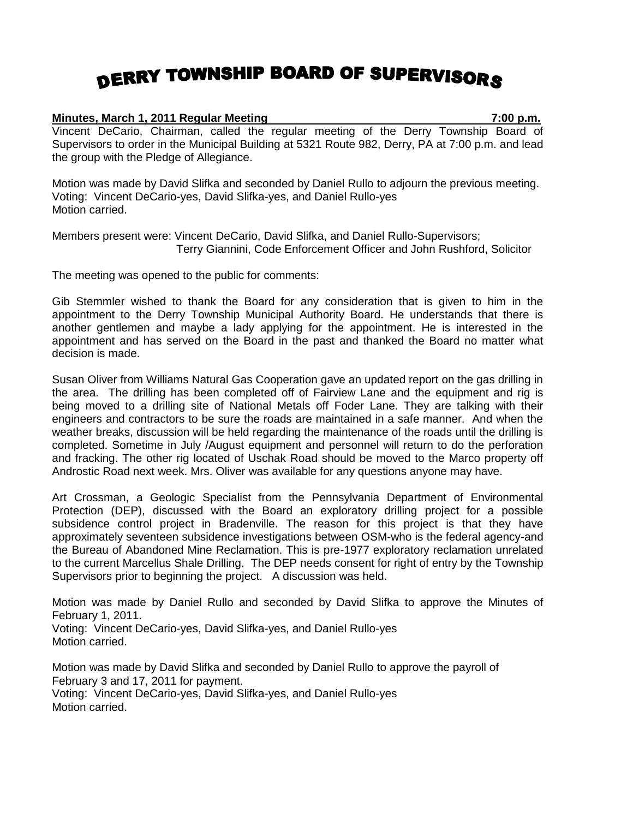## DERRY TOWNSHIP BOARD OF SUPERVISORS

## **Minutes, March 1, 2011 Regular Meeting 7:00 p.m.**

Vincent DeCario, Chairman, called the regular meeting of the Derry Township Board of Supervisors to order in the Municipal Building at 5321 Route 982, Derry, PA at 7:00 p.m. and lead the group with the Pledge of Allegiance.

Motion was made by David Slifka and seconded by Daniel Rullo to adjourn the previous meeting. Voting: Vincent DeCario-yes, David Slifka-yes, and Daniel Rullo-yes Motion carried.

Members present were: Vincent DeCario, David Slifka, and Daniel Rullo-Supervisors; Terry Giannini, Code Enforcement Officer and John Rushford, Solicitor

The meeting was opened to the public for comments:

Gib Stemmler wished to thank the Board for any consideration that is given to him in the appointment to the Derry Township Municipal Authority Board. He understands that there is another gentlemen and maybe a lady applying for the appointment. He is interested in the appointment and has served on the Board in the past and thanked the Board no matter what decision is made.

Susan Oliver from Williams Natural Gas Cooperation gave an updated report on the gas drilling in the area. The drilling has been completed off of Fairview Lane and the equipment and rig is being moved to a drilling site of National Metals off Foder Lane. They are talking with their engineers and contractors to be sure the roads are maintained in a safe manner. And when the weather breaks, discussion will be held regarding the maintenance of the roads until the drilling is completed. Sometime in July /August equipment and personnel will return to do the perforation and fracking. The other rig located of Uschak Road should be moved to the Marco property off Androstic Road next week. Mrs. Oliver was available for any questions anyone may have.

Art Crossman, a Geologic Specialist from the Pennsylvania Department of Environmental Protection (DEP), discussed with the Board an exploratory drilling project for a possible subsidence control project in Bradenville. The reason for this project is that they have approximately seventeen subsidence investigations between OSM-who is the federal agency-and the Bureau of Abandoned Mine Reclamation. This is pre-1977 exploratory reclamation unrelated to the current Marcellus Shale Drilling. The DEP needs consent for right of entry by the Township Supervisors prior to beginning the project. A discussion was held.

Motion was made by Daniel Rullo and seconded by David Slifka to approve the Minutes of February 1, 2011. Voting: Vincent DeCario-yes, David Slifka-yes, and Daniel Rullo-yes Motion carried.

Motion was made by David Slifka and seconded by Daniel Rullo to approve the payroll of February 3 and 17, 2011 for payment. Voting: Vincent DeCario-yes, David Slifka-yes, and Daniel Rullo-yes Motion carried.